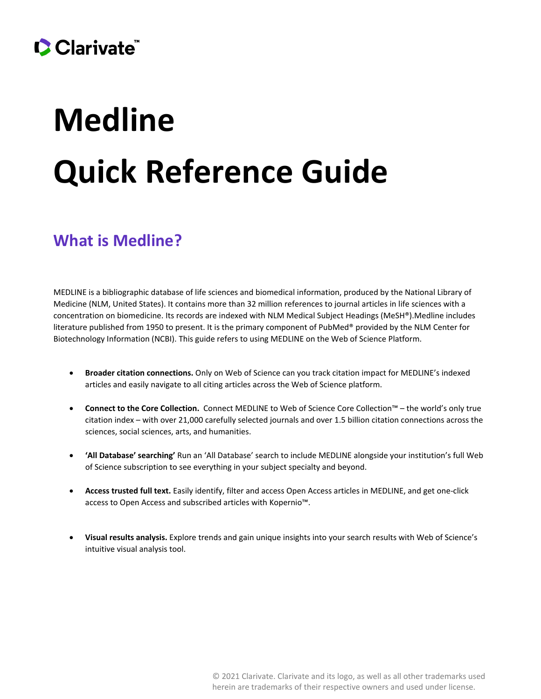# Clarivate

# **Medline Quick Reference Guide**

### **What is Medline?**

MEDLINE is a bibliographic database of life sciences and biomedical information, produced by the National Library of Medicine (NLM, United States). It contains more than 32 million references to journal articles in life sciences with a concentration on biomedicine. Its records are indexed with NLM Medical Subject Headings (MeSH®).Medline includes literature published from 1950 to present. It is the primary component of PubMed® provided by the NLM Center for Biotechnology Information (NCBI). This guide refers to using MEDLINE on the Web of Science Platform.

- **Broader citation connections.** Only on Web of Science can you track citation impact for MEDLINE's indexed articles and easily navigate to all citing articles across the Web of Science platform.
- **Connect to the Core Collection.** Connect MEDLINE to Web of Science Core Collection™ the world's only true citation index – with over 21,000 carefully selected journals and over 1.5 billion citation connections across the sciences, social sciences, arts, and humanities.
- **'All Database' searching'** Run an 'All Database' search to include MEDLINE alongside your institution's full Web of Science subscription to see everything in your subject specialty and beyond.
- **Access trusted full text.** Easily identify, filter and access Open Access articles in MEDLINE, and get one-click access to Open Access and subscribed articles with Kopernio™.
- **Visual results analysis.** Explore trends and gain unique insights into your search results with Web of Science's intuitive visual analysis tool.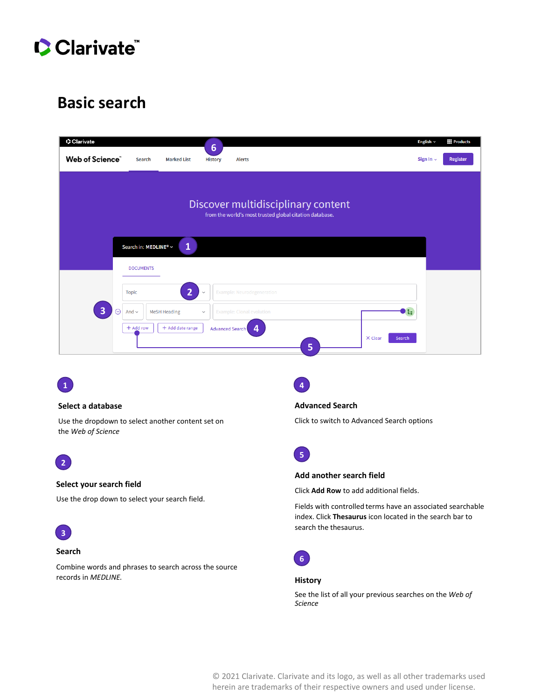

### **Basic search**

| C Clarivate                          |                                           |                     | $6\phantom{1}6$ |                                                                                               |                   | <b>Products</b><br>English $\sim$ |
|--------------------------------------|-------------------------------------------|---------------------|-----------------|-----------------------------------------------------------------------------------------------|-------------------|-----------------------------------|
| Web of Science"                      | <b>Search</b>                             | <b>Marked List</b>  | <b>History</b>  | <b>Alerts</b>                                                                                 |                   | <b>Register</b><br>Sign In $\sim$ |
|                                      |                                           |                     |                 | Discover multidisciplinary content<br>from the world's most trusted global citation database. |                   |                                   |
|                                      | Search in: MEDLINE® ~<br><b>DOCUMENTS</b> | 1                   |                 |                                                                                               |                   |                                   |
|                                      | <b>Topic</b>                              | $\overline{2}$      | $\checkmark$    | Example: Neurodegeneration                                                                    |                   |                                   |
| $\overline{\mathbf{3}}$<br>$\ominus$ | And $\sim$                                | <b>MeSH Heading</b> | $\checkmark$    | <b>Example: Clonal evolution</b>                                                              | ъ                 |                                   |
|                                      | + Add row                                 | $+$ Add date range  | Advanced Search | 4<br>5                                                                                        | X Clear<br>Search |                                   |



#### **Select a database**

Use the dropdown to select another content set on the *Web of Science*



#### **Select your search field**

Use the drop down to select your search field.



#### **Search**

Combine words and phrases to search across the source records in *MEDLINE.*



**Advanced Search**

Click to switch to Advanced Search options



#### **Add another search field**

Click **Add Row** to add additional fields.

Fields with controlled terms have an associated searchable index. Click **Thesaurus** icon located in the search bar to search the thesaurus.



#### **History**

See the list of all your previous searches on the *Web of Science*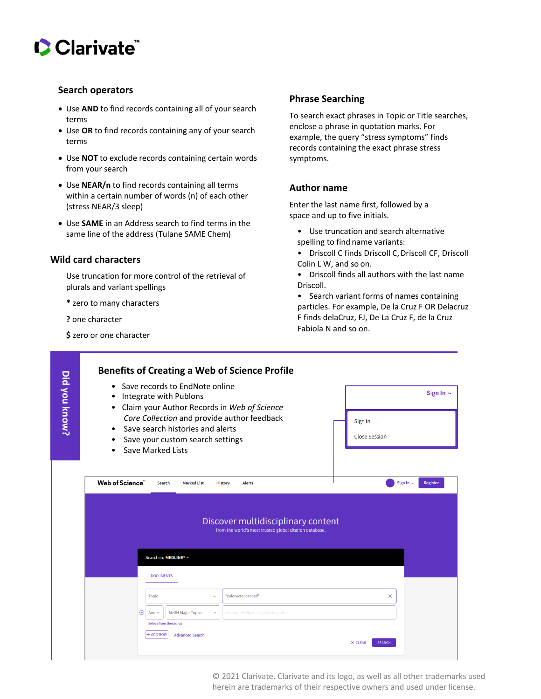# Clarivate

#### **Search operators**

- Use **AND** to find records containing all of your search terms
- Use **OR** to find records containing any of your search terms
- Use **NOT** to exclude records containing certain words from your search
- Use **NEAR/n** to find records containing all terms within a certain number of words (n) of each other (stress NEAR/3 sleep)
- Use **SAME** in an Address search to find terms in the same line of the address (Tulane SAME Chem)

#### **Wild card characters**

Use truncation for more control of the retrieval of plurals and variant spellings

- **\*** zero to many characters
- **?** one character
- **\$** zero or one character

#### **Phrase Searching**

To search exact phrases in Topic or Title searches, enclose a phrase in quotation marks. For example, the query "stress symptoms" finds records containing the exact phrase stress symptoms.

#### **Author name**

Enter the last name first, followed by a space and up to five initials.

- Use truncation and search alternative spelling to find name variants:
- Driscoll C finds Driscoll C, Driscoll CF, Driscoll Colin L W, and so on.
- Driscoll finds all authors with the last name Driscoll.

• Search variant forms of names containing particles. For example, De la Cruz F OR Delacruz F finds delaCruz, FJ, De La Cruz F, de la Cruz Fabiola N and so on.

| Did you know? | Save records to EndNote online<br>$\bullet$<br>Integrate with Publons<br>٠<br>Claim your Author Records in Web of Science<br>٠<br>Core Collection and provide author feedback<br>Save search histories and alerts<br>$\bullet$<br>Save your custom search settings<br>$\bullet$<br>Save Marked Lists | Sign In $\sim$<br>Sign In<br><b>Close Session</b> |
|---------------|------------------------------------------------------------------------------------------------------------------------------------------------------------------------------------------------------------------------------------------------------------------------------------------------------|---------------------------------------------------|
|               | Web of Science"<br><b>Marked List</b><br><b>Search</b><br><b>Alerts</b><br><b>History</b>                                                                                                                                                                                                            | Sign In $\sim$<br>Register                        |
|               | Discover multidisciplinary content<br>from the world's most trusted global citation database.                                                                                                                                                                                                        |                                                   |
|               | Search in: MEDLINE® ~                                                                                                                                                                                                                                                                                |                                                   |
|               | <b>DOCUMENTS</b>                                                                                                                                                                                                                                                                                     |                                                   |
|               | "colorectal cancer"<br><b>Topic</b><br>$\checkmark$<br>Θ<br><b>MeSH Major Topics</b><br>And $\sim$<br>Example: Follicular Cyst/congenital<br>$\checkmark$                                                                                                                                            | $\times$                                          |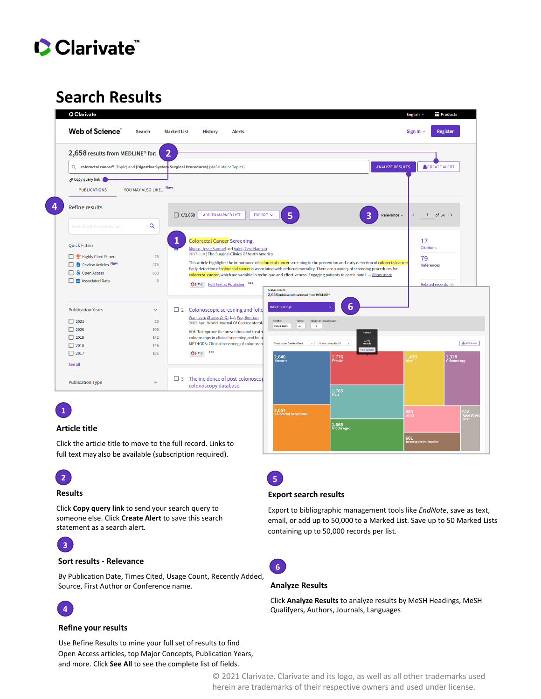

# **Search Results**

| 2,658 results from MEDLINE® for:                                                                                                     | $\overline{2}$                                 |                                                                                                                                                                                                                                                                                               |                                                                                                                                                                                                                                                                                                                                                                                                                                                                          |                        |                                                               |
|--------------------------------------------------------------------------------------------------------------------------------------|------------------------------------------------|-----------------------------------------------------------------------------------------------------------------------------------------------------------------------------------------------------------------------------------------------------------------------------------------------|--------------------------------------------------------------------------------------------------------------------------------------------------------------------------------------------------------------------------------------------------------------------------------------------------------------------------------------------------------------------------------------------------------------------------------------------------------------------------|------------------------|---------------------------------------------------------------|
|                                                                                                                                      |                                                | Q "colorectal cancer" (Topic) and (Digestive System Surgical Procedures) (MeSH Major Topics)                                                                                                                                                                                                  |                                                                                                                                                                                                                                                                                                                                                                                                                                                                          | <b>ANALYZE RESULTS</b> | <b>ACREATE ALERT</b>                                          |
| o Copy query link (<br><b>PUBLICATIONS</b>                                                                                           | YOU MAY ALSO LIKE New                          |                                                                                                                                                                                                                                                                                               |                                                                                                                                                                                                                                                                                                                                                                                                                                                                          |                        |                                                               |
| <b>Refine results</b>                                                                                                                |                                                | <b>ADD TO MARKED LIST</b><br>$\boxed{\square}$ 0/2,658<br>EXPORT V                                                                                                                                                                                                                            | 5<br>З                                                                                                                                                                                                                                                                                                                                                                                                                                                                   | Relevance ~            | $1\,$<br>of $54$ >                                            |
| Search within results for                                                                                                            | Q                                              |                                                                                                                                                                                                                                                                                               |                                                                                                                                                                                                                                                                                                                                                                                                                                                                          |                        |                                                               |
| <b>Quick Filters</b><br>P Highly Cited Papers<br>Review Articles New<br>п<br><b>a</b> Open Access<br>□<br>□ <b>■</b> Associated Data | 25<br>378<br>683<br>6                          | <b>Colorectal Cancer Screening.</b><br>Moore, Jesse Samuel and Aulet, Tess Hannah<br>2017-Jun   The Surgical Clinics Of North America<br>Gs-F-x Full Text at Publisher                                                                                                                        | This article highlights the importance of colorectal cancer screening in the prevention and early detection of colorectal cancer<br>Early detection of colorectal cancer is associated with reduced mortality. There are a variety of screening procedures for<br>colorectal cancer, which are variable in technique and effectiveness. Engaging patients to participate i  Show more<br><b>Analyze Results</b><br>2,658 publications selected from MEDLINE <sup>®</sup> |                        | 17<br><b>Citations</b><br>79<br>References<br>Related records |
| <b>Publication Years</b><br>$\Box$ 2021<br>$\Box$ 2020<br>$\Box$ 2019<br>$\Box$ 2018<br>$\Box$ 2017<br>See all                       | $\checkmark$<br>20<br>109<br>142<br>146<br>125 | $\Box$ 2 Colonoscopic screening and follo<br>Wan, Jun; Zhang, Zi-Qi; (); Wu, Ben-Yan<br>2002-Apr   World Journal Of Gastroenterol<br>AIM: To improve the prevention and treatn<br>colonoscopy in clinical screening and follo<br>METHODS: Clinical screening of colonosco<br>0.0.0<br>$Qs-FX$ | <b>MeSH Headings</b><br>6<br>Sort by<br>Showe<br>Minimum record count:<br>Results count -<br>$25 -$<br>$\sim$<br>Female<br>$\frac{1.776}{\text{reacha}}$<br>Visualization: TreeMap Chart<br>Number of results: 10<br>View Record<br>$2,640$<br>Humans<br>$1,776$<br>Female                                                                                                                                                                                               | 1,439<br>\ged          | <b>E DOWNLOAD</b><br>$1,328$<br>Colonoscopy                   |
| <b>Publication Type</b>                                                                                                              | $\checkmark$                                   | $\Box$ 3 The incidence of post-colonoscol<br>colonoscopy database.                                                                                                                                                                                                                            | 1,765                                                                                                                                                                                                                                                                                                                                                                                                                                                                    |                        |                                                               |

Click the article title to move to the full record. Links to full text may also be available (subscription required).

# **2**

#### **Results**

Click **Copy query link** to send your search query to someone else. Click **Create Alert** to save this search statement as a search alert.



#### **Sort results - Relevance**

By Publication Date, Times Cited, Usage Count, Recently Added, Source, First Author or Conference name.



#### **Refine your results**

Use Refine Results to mine your full set of results to find Open Access articles, top Major Concepts, Publication Years, and more. Click **See All** to see the complete list of fields.

**5**

#### **Export search results**

Export to bibliographic management tools like *EndNote*, save as text, email, or add up to 50,000 to a Marked List. Save up to 50 Marked Lists containing up to 50,000 records per list.



#### **Analyze Results**

Click **Analyze Results** to analyze results by MeSH Headings, MeSH Qualifyers, Authors, Journals, Languages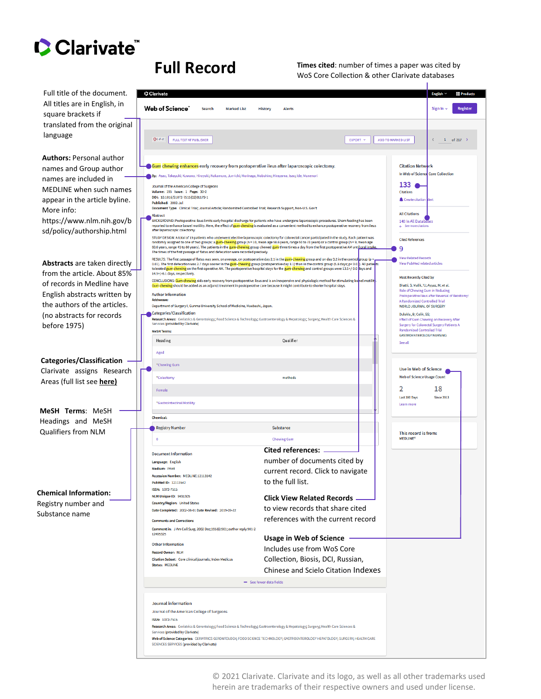

**Full Record** Times cited: number of times a paper was cited by<br>WoS Core Collection & other Clarivate databases

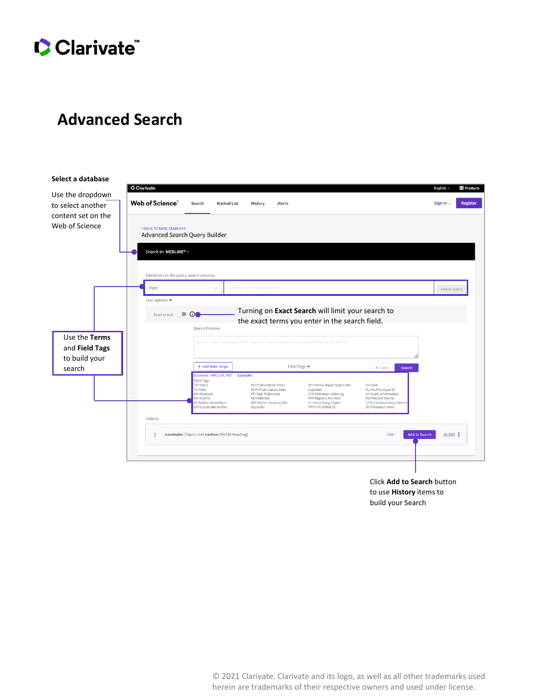# Clarivate

## **Advanced Search**



Click **Add to Search** button to use **History** items to build your Search